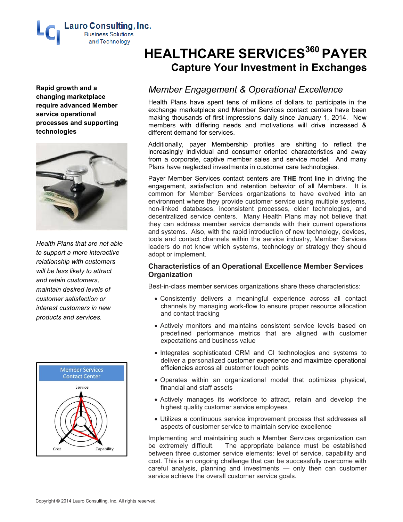

**Rapid growth and a changing marketplace require advanced Member service operational processes and supporting technologies**



*Health Plans that are not able to support a more interactive relationship with customers will be less likely to attract and retain customers, maintain desired levels of customer satisfaction or interest customers in new products and services.*



# **HEALTHCARE SERVICES <sup>360</sup> PAYER Capture Your Investment in Exchanges**

# *Member Engagement & Operational Excellence*

Health Plans have spent tens of millions of dollars to participate in the exchange marketplace and Member Services contact centers have been making thousands of first impressions daily since January 1, 2014. New members with differing needs and motivations will drive increased & different demand for services.

Additionally, payer Membership profiles are shifting to reflect the increasingly individual and consumer oriented characteristics and away from a corporate, captive member sales and service model. And many Plans have neglected investments in customer care technologies.

Payer Member Services contact centers are **THE** front line in driving the engagement, satisfaction and retention behavior of all Members. It is common for Member Services organizations to have evolved into an environment where they provide customer service using multiple systems, non-linked databases, inconsistent processes, older technologies, and decentralized service centers. Many Health Plans may not believe that they can address member service demands with their current operations and systems. Also, with the rapid introduction of new technology, devices, tools and contact channels within the service industry, Member Services leaders do not know which systems, technology or strategy they should adopt or implement.

# **Characteristics of an Operational Excellence Member Services Organization**

Best-in-class member services organizations share these characteristics:

- Consistently delivers a meaningful experience across all contact channels by managing work-flow to ensure proper resource allocation and contact tracking
- Actively monitors and maintains consistent service levels based on predefined performance metrics that are aligned with customer expectations and business value
- Integrates sophisticated CRM and CI technologies and systems to deliver a personalized customer experience and maximize operational efficiencies across all customer touch points
- Operates within an organizational model that optimizes physical, financial and staff assets
- Actively manages its workforce to attract, retain and develop the highest quality customer service employees
- Utilizes a continuous service improvement process that addresses all aspects of customer service to maintain service excellence

Implementing and maintaining such a Member Services organization can be extremely difficult. The appropriate balance must be established between three customer service elements: level of service, capability and cost. This is an ongoing challenge that can be successfully overcome with careful analysis, planning and investments — only then can customer service achieve the overall customer service goals.